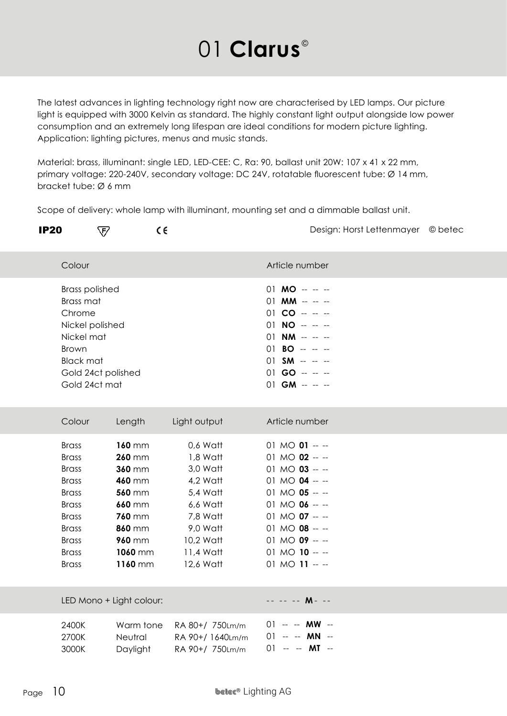## 01 **Clarus**<sup>®</sup>

The latest advances in lighting technology right now are characterised by LED lamps. Our picture light is equipped with 3000 Kelvin as standard. The highly constant light output alongside low power consumption and an extremely long lifespan are ideal conditions for modern picture lighting. Application: lighting pictures, menus and music stands.

Material: brass, illuminant: single LED, LED-CEE: C, Ra: 90, ballast unit 20W: 107 x 41 x 22 mm, primary voltage: 220-240V, secondary voltage: DC 24V, rotatable fluorescent tube: Ø 14 mm, bracket tube: Ø 6 mm

Scope of delivery: whole lamp with illuminant, mounting set and a dimmable ballast unit.

| <b>IP20</b><br>प्ट∕                                                                                                                                                          | CE                                                                                                                                                     |                                                                                                                                     |                                                                                                                                                                                                    | Design: Horst Lettenmayer © betec |  |  |
|------------------------------------------------------------------------------------------------------------------------------------------------------------------------------|--------------------------------------------------------------------------------------------------------------------------------------------------------|-------------------------------------------------------------------------------------------------------------------------------------|----------------------------------------------------------------------------------------------------------------------------------------------------------------------------------------------------|-----------------------------------|--|--|
| Colour                                                                                                                                                                       |                                                                                                                                                        |                                                                                                                                     | Article number                                                                                                                                                                                     |                                   |  |  |
| <b>Brass polished</b><br>Brass mat<br>Chrome<br>Nickel polished<br>Nickel mat<br><b>Brown</b><br><b>Black mat</b><br>Gold 24ct polished<br>Gold 24ct mat                     |                                                                                                                                                        |                                                                                                                                     | $01$ MO $- -$<br>$01$ MM -- -- --<br>$01 CO - - -$<br>$01$ NO $  -$<br>$01$ NM $- -$<br>$01$ BO $- -$<br>$01$ SM $- -$<br>$01$ GO $- -$<br>$01$ GM $- -$                                           |                                   |  |  |
| Colour                                                                                                                                                                       | Length                                                                                                                                                 | Light output                                                                                                                        | Article number                                                                                                                                                                                     |                                   |  |  |
| <b>Brass</b><br><b>Brass</b><br><b>Brass</b><br><b>Brass</b><br><b>Brass</b><br><b>Brass</b><br><b>Brass</b><br><b>Brass</b><br><b>Brass</b><br><b>Brass</b><br><b>Brass</b> | <b>160 mm</b><br><b>260 mm</b><br>360 mm<br><b>460 mm</b><br><b>560 mm</b><br><b>660 mm</b><br><b>760 mm</b><br>860 mm<br>960 mm<br>1060 mm<br>1160 mm | 0,6 Watt<br>1,8 Watt<br>3,0 Watt<br>4,2 Watt<br>5,4 Watt<br>6,6 Watt<br>7,8 Watt<br>9,0 Watt<br>10,2 Watt<br>11,4 Watt<br>12,6 Watt | 01 MO $01 - -$<br>01 MO $02 - -$<br>01 MO $03 - -$<br>01 MO $04 - -$<br>01 MO $05 - -$<br>01 MO $06 - -$<br>01 MO $07 - -$<br>01 MO $08 - -$<br>01 MO $09 - -$<br>01 MO $10 - -$<br>01 MO $11 - -$ |                                   |  |  |
| LED Mono + Light colour:                                                                                                                                                     |                                                                                                                                                        |                                                                                                                                     | -- -- -- M- --                                                                                                                                                                                     |                                   |  |  |
| 2400K<br>2700K<br>3000K                                                                                                                                                      | Warm tone<br>Neutral<br>Daylight                                                                                                                       | RA 80+/ 750Lm/m<br>RA 90+/1640Lm/m<br>RA 90+/ 750Lm/m                                                                               | $01 - -$ MW $-$<br>$01 - - M N -$<br>$01 - -$ <b>MT</b> --                                                                                                                                         |                                   |  |  |
| Page $10$<br><b>beter® Lighting AG</b>                                                                                                                                       |                                                                                                                                                        |                                                                                                                                     |                                                                                                                                                                                                    |                                   |  |  |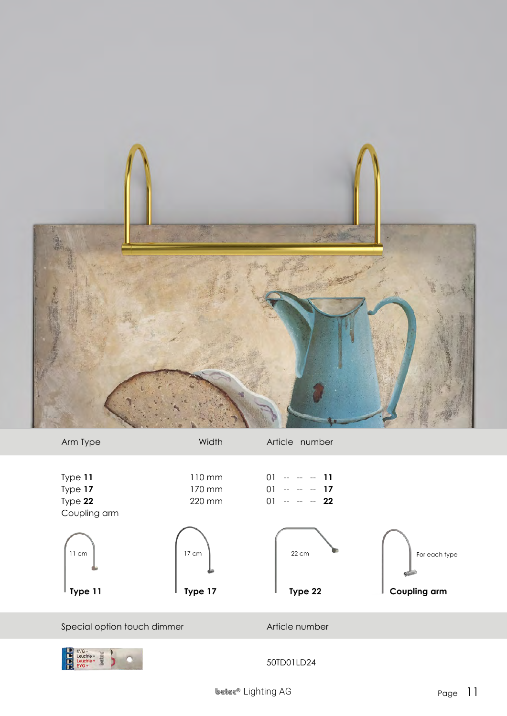



 $\begin{array}{ll}\n\text{EVG} - \text{Leuchte} & \text{H} \\
\text{Leuchte} + \text{EVG} & \text{H} \\
\text{EVG} & \text{H} \\
\end{array}$  $\frac{1}{2}$ b

50TD01LD24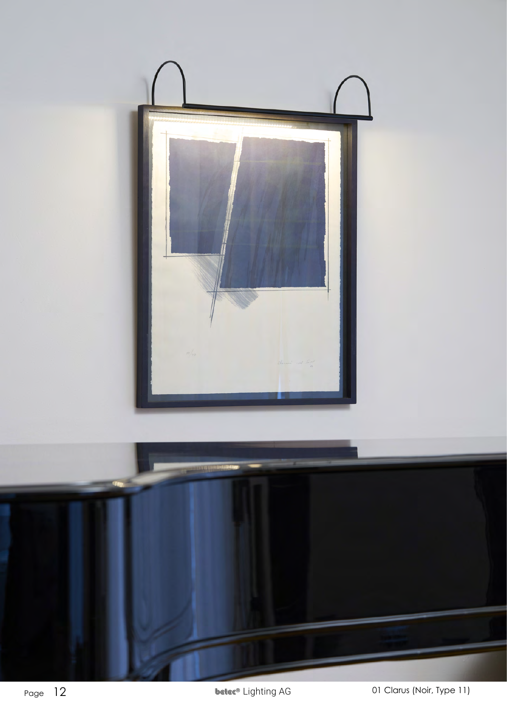

Page  $12$